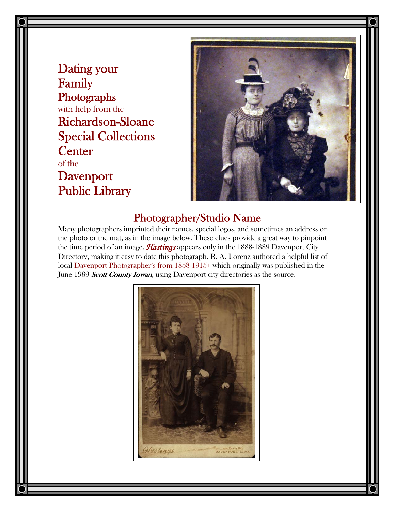Dating your Family Photographs with help from the Richardson-Sloane Special Collections **Center** of the Davenport Public Library



### Photographer/Studio Name

Many photographers imprinted their names, special logos, and sometimes an address on the photo or the mat, as in the image below. These clues provide a great way to pinpoint the time period of an image. *Hastings* appears only in the 1888-1889 Davenport City Directory, making it easy to date this photograph. R. A. Lorenz authored a helpful list of local Davenport Photographer's from 1858-1915+ which originally was published in the June 1989 Scott County Iowan, using Davenport city directories as the source.

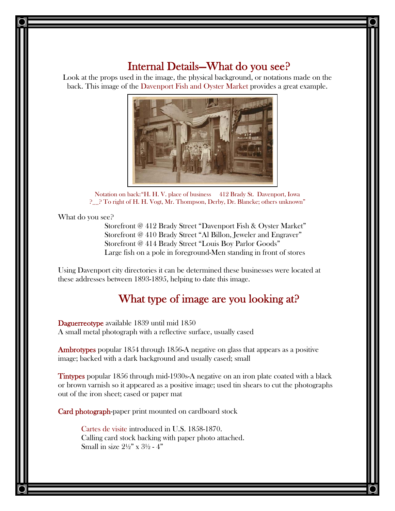### Internal Details—What do you see?

Look at the props used in the image, the physical background, or notations made on the back. This image of the Davenport Fish and Oyster Market provides a great example.



Notation on back: "H. H. V. place of business 412 Brady St. Davenport, Iowa ?\_\_? To right of H. H. Vogt, Mr. Thompson, Derby, Dr. Blancke; others unknown"

What do you see?

Storefront @ 412 Brady Street "Davenport Fish & Oyster Market" Storefront @ 410 Brady Street "Al Billon, Jeweler and Engraver" Storefront @ 414 Brady Street "Louis Boy Parlor Goods" Large fish on a pole in foreground-Men standing in front of stores

Using Davenport city directories it can be determined these businesses were located at these addresses between 1893-1895, helping to date this image.

## What type of image are you looking at?

 Daguerreotype available 1839 until mid 1850 A small metal photograph with a reflective surface, usually cased

Ambrotypes popular 1854 through 1856-A negative on glass that appears as a positive image; backed with a dark background and usually cased; small

Tintypes popular 1856 through mid-1930s-A negative on an iron plate coated with a black or brown varnish so it appeared as a positive image; used tin shears to cut the photographs out of the iron sheet; cased or paper mat

Card photograph-paper print mounted on cardboard stock

Cartes de visite introduced in U.S. 1858-1870. Calling card stock backing with paper photo attached. Small in size  $2\frac{1}{2}$ " x  $3\frac{1}{2}$  - 4"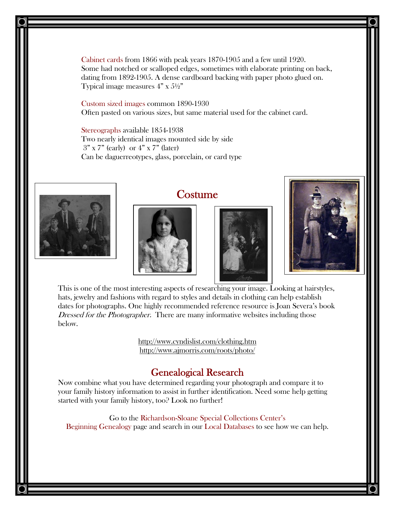Cabinet cards from 1866 with peak years 1870-1905 and a few until 1920. Some had notched or scalloped edges, sometimes with elaborate printing on back, dating from 1892-1905. A dense cardboard backing with paper photo glued on. Typical image measures  $4" \times 5\frac{1}{2}"$ 

Custom sized images common 1890-1930 Often pasted on various sizes, but same material used for the cabinet card.

Stereographs available 1854-1938 Two nearly identical images mounted side by side  $3"$  x 7" (early) or  $4"$  x 7" (later) Can be daguerreotypes, glass, porcelain, or card type



# **Costume**







This is one of the most interesting aspects of researching your image. Looking at hairstyles, hats, jewelry and fashions with regard to styles and details in clothing can help establish dates for photographs. One highly recommended reference resource is Joan Severa's book Dressed for the Photographer. There are many informative websites including those below.

> <http://www.cyndislist.com/clothing.htm> <http://www.ajmorris.com/roots/photo/>

### Genealogical Research

Now combine what you have determined regarding your photograph and compare it to your family history information to assist in further identification. Need some help getting started with your family history, too? Look no further!

Go to the Richardson-Sloane Special Collections Center's Beginning Genealogy page and search in our Local Databases to see how we can help.